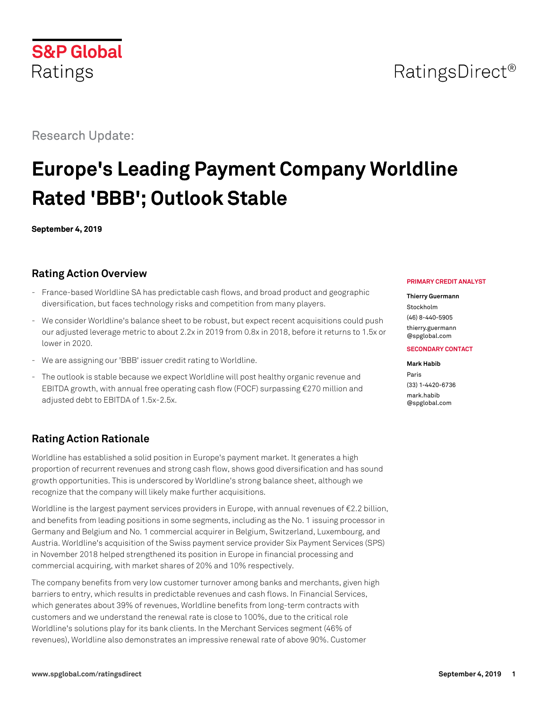## Research Update:

**S&P Global** 

Ratings

# **Europe's Leading Payment Company Worldline Rated 'BBB'; Outlook Stable**

**September 4, 2019**

## **Rating Action Overview**

- France-based Worldline SA has predictable cash flows, and broad product and geographic diversification, but faces technology risks and competition from many players.
- We consider Worldline's balance sheet to be robust, but expect recent acquisitions could push our adjusted leverage metric to about 2.2x in 2019 from 0.8x in 2018, before it returns to 1.5x or lower in 2020.
- We are assigning our 'BBB' issuer credit rating to Worldline.
- The outlook is stable because we expect Worldline will post healthy organic revenue and EBITDA growth, with annual free operating cash flow (FOCF) surpassing €270 million and adjusted debt to EBITDA of 1.5x-2.5x.

## **Rating Action Rationale**

Worldline has established a solid position in Europe's payment market. It generates a high proportion of recurrent revenues and strong cash flow, shows good diversification and has sound growth opportunities. This is underscored by Worldline's strong balance sheet, although we recognize that the company will likely make further acquisitions.

Worldline is the largest payment services providers in Europe, with annual revenues of €2.2 billion, and benefits from leading positions in some segments, including as the No. 1 issuing processor in Germany and Belgium and No. 1 commercial acquirer in Belgium, Switzerland, Luxembourg, and Austria. Worldline's acquisition of the Swiss payment service provider Six Payment Services (SPS) in November 2018 helped strengthened its position in Europe in financial processing and commercial acquiring, with market shares of 20% and 10% respectively.

The company benefits from very low customer turnover among banks and merchants, given high barriers to entry, which results in predictable revenues and cash flows. In Financial Services, which generates about 39% of revenues, Worldline benefits from long-term contracts with customers and we understand the renewal rate is close to 100%, due to the critical role Worldline's solutions play for its bank clients. In the Merchant Services segment (46% of revenues), Worldline also demonstrates an impressive renewal rate of above 90%. Customer

#### **PRIMARY CREDIT ANALYST**

RatingsDirect<sup>®</sup>

#### **Thierry Guermann**

Stockholm (46) 8-440-5905 [thierry.guermann](mailto:thierry.guermann@spglobal.com) [@spglobal.com](mailto:thierry.guermann@spglobal.com)

#### **SECONDARY CONTACT**

#### **Mark Habib**

Paris (33) 1-4420-6736 [mark.habib](mailto:mark.habib@spglobal.com) [@spglobal.com](mailto:mark.habib@spglobal.com)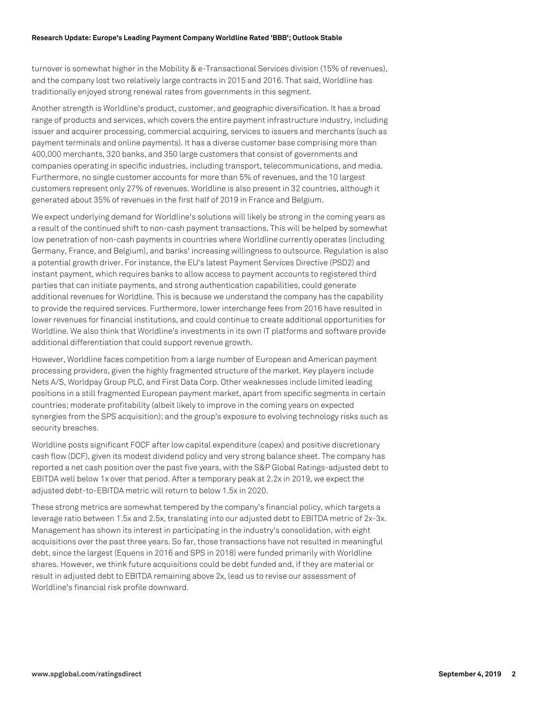turnover is somewhat higher in the Mobility & e-Transactional Services division (15% of revenues), and the company lost two relatively large contracts in 2015 and 2016. That said, Worldline has traditionally enjoyed strong renewal rates from governments in this segment.

Another strength is Worldline's product, customer, and geographic diversification. It has a broad range of products and services, which covers the entire payment infrastructure industry, including issuer and acquirer processing, commercial acquiring, services to issuers and merchants (such as payment terminals and online payments). It has a diverse customer base comprising more than 400,000 merchants, 320 banks, and 350 large customers that consist of governments and companies operating in specific industries, including transport, telecommunications, and media. Furthermore, no single customer accounts for more than 5% of revenues, and the 10 largest customers represent only 27% of revenues. Worldline is also present in 32 countries, although it generated about 35% of revenues in the first half of 2019 in France and Belgium.

We expect underlying demand for Worldline's solutions will likely be strong in the coming years as a result of the continued shift to non-cash payment transactions. This will be helped by somewhat low penetration of non-cash payments in countries where Worldline currently operates (including Germany, France, and Belgium), and banks' increasing willingness to outsource. Regulation is also a potential growth driver. For instance, the EU's latest Payment Services Directive (PSD2) and instant payment, which requires banks to allow access to payment accounts to registered third parties that can initiate payments, and strong authentication capabilities, could generate additional revenues for Worldline. This is because we understand the company has the capability to provide the required services. Furthermore, lower interchange fees from 2016 have resulted in lower revenues for financial institutions, and could continue to create additional opportunities for Worldline. We also think that Worldline's investments in its own IT platforms and software provide additional differentiation that could support revenue growth.

However, Worldline faces competition from a large number of European and American payment processing providers, given the highly fragmented structure of the market. Key players include Nets A/S, Worldpay Group PLC, and First Data Corp. Other weaknesses include limited leading positions in a still fragmented European payment market, apart from specific segments in certain countries; moderate profitability (albeit likely to improve in the coming years on expected synergies from the SPS acquisition); and the group's exposure to evolving technology risks such as security breaches.

Worldline posts significant FOCF after low capital expenditure (capex) and positive discretionary cash flow (DCF), given its modest dividend policy and very strong balance sheet. The company has reported a net cash position over the past five years, with the S&P Global Ratings-adjusted debt to EBITDA well below 1x over that period. After a temporary peak at 2.2x in 2019, we expect the adjusted debt-to-EBITDA metric will return to below 1.5x in 2020.

These strong metrics are somewhat tempered by the company's financial policy, which targets a leverage ratio between 1.5x and 2.5x, translating into our adjusted debt to EBITDA metric of 2x-3x. Management has shown its interest in participating in the industry's consolidation, with eight acquisitions over the past three years. So far, those transactions have not resulted in meaningful debt, since the largest (Equens in 2016 and SPS in 2018) were funded primarily with Worldline shares. However, we think future acquisitions could be debt funded and, if they are material or result in adjusted debt to EBITDA remaining above 2x, lead us to revise our assessment of Worldline's financial risk profile downward.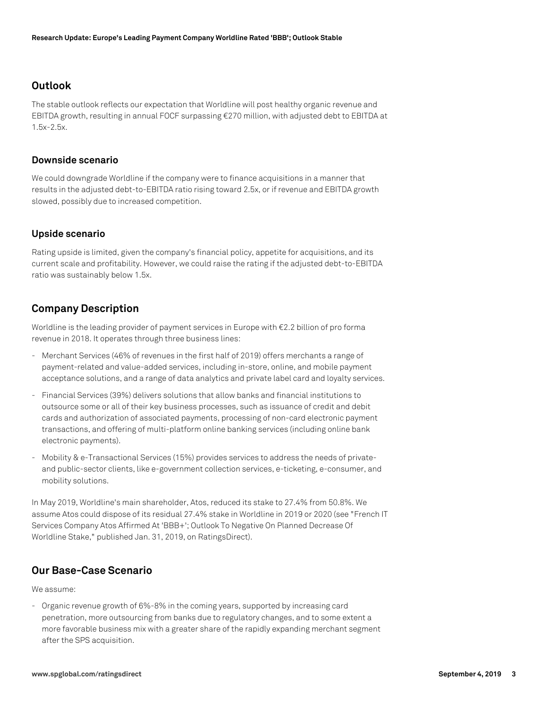#### **Outlook**

The stable outlook reflects our expectation that Worldline will post healthy organic revenue and EBITDA growth, resulting in annual FOCF surpassing €270 million, with adjusted debt to EBITDA at 1.5x-2.5x.

#### **Downside scenario**

We could downgrade Worldline if the company were to finance acquisitions in a manner that results in the adjusted debt-to-EBITDA ratio rising toward 2.5x, or if revenue and EBITDA growth slowed, possibly due to increased competition.

#### **Upside scenario**

Rating upside is limited, given the company's financial policy, appetite for acquisitions, and its current scale and profitability. However, we could raise the rating if the adjusted debt-to-EBITDA ratio was sustainably below 1.5x.

## **Company Description**

Worldline is the leading provider of payment services in Europe with €2.2 billion of pro forma revenue in 2018. It operates through three business lines:

- Merchant Services (46% of revenues in the first half of 2019) offers merchants a range of payment-related and value-added services, including in-store, online, and mobile payment acceptance solutions, and a range of data analytics and private label card and loyalty services.
- Financial Services (39%) delivers solutions that allow banks and financial institutions to outsource some or all of their key business processes, such as issuance of credit and debit cards and authorization of associated payments, processing of non-card electronic payment transactions, and offering of multi-platform online banking services (including online bank electronic payments).
- Mobility & e-Transactional Services (15%) provides services to address the needs of privateand public-sector clients, like e-government collection services, e-ticketing, e-consumer, and mobility solutions.

In May 2019, Worldline's main shareholder, Atos, reduced its stake to 27.4% from 50.8%. We assume Atos could dispose of its residual 27.4% stake in Worldline in 2019 or 2020 (see "French IT Services Company Atos Affirmed At 'BBB+'; Outlook To Negative On Planned Decrease Of Worldline Stake," published Jan. 31, 2019, on RatingsDirect).

### **Our Base-Case Scenario**

We assume:

- Organic revenue growth of 6%-8% in the coming years, supported by increasing card penetration, more outsourcing from banks due to regulatory changes, and to some extent a more favorable business mix with a greater share of the rapidly expanding merchant segment after the SPS acquisition.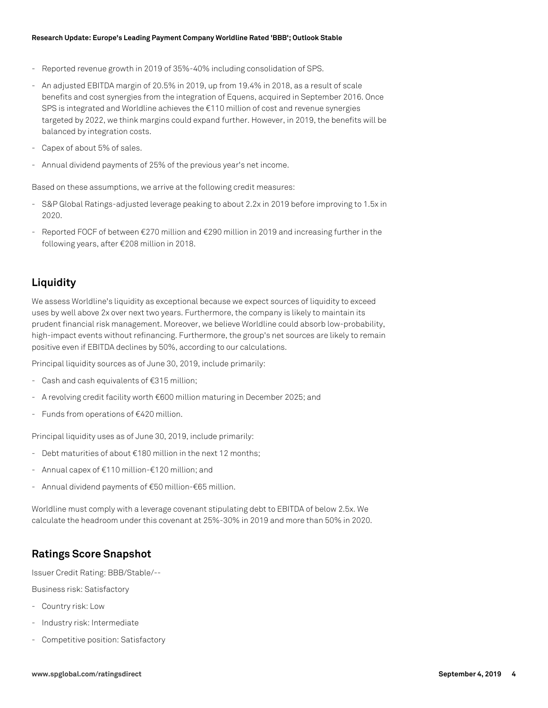#### **Research Update: Europe's Leading Payment Company Worldline Rated 'BBB'; Outlook Stable**

- Reported revenue growth in 2019 of 35%-40% including consolidation of SPS.
- An adjusted EBITDA margin of 20.5% in 2019, up from 19.4% in 2018, as a result of scale benefits and cost synergies from the integration of Equens, acquired in September 2016. Once SPS is integrated and Worldline achieves the  $E$ 110 million of cost and revenue synergies targeted by 2022, we think margins could expand further. However, in 2019, the benefits will be balanced by integration costs.
- Capex of about 5% of sales.
- Annual dividend payments of 25% of the previous year's net income.

Based on these assumptions, we arrive at the following credit measures:

- S&P Global Ratings-adjusted leverage peaking to about 2.2x in 2019 before improving to 1.5x in 2020.
- Reported FOCF of between €270 million and €290 million in 2019 and increasing further in the following years, after €208 million in 2018.

## **Liquidity**

We assess Worldline's liquidity as exceptional because we expect sources of liquidity to exceed uses by well above 2x over next two years. Furthermore, the company is likely to maintain its prudent financial risk management. Moreover, we believe Worldline could absorb low-probability, high-impact events without refinancing. Furthermore, the group's net sources are likely to remain positive even if EBITDA declines by 50%, according to our calculations.

Principal liquidity sources as of June 30, 2019, include primarily:

- Cash and cash equivalents of €315 million;
- A revolving credit facility worth €600 million maturing in December 2025; and
- Funds from operations of €420 million.

Principal liquidity uses as of June 30, 2019, include primarily:

- Debt maturities of about €180 million in the next 12 months;
- Annual capex of €110 million-€120 million; and
- Annual dividend payments of €50 million-€65 million.

Worldline must comply with a leverage covenant stipulating debt to EBITDA of below 2.5x. We calculate the headroom under this covenant at 25%-30% in 2019 and more than 50% in 2020.

## **Ratings Score Snapshot**

Issuer Credit Rating: BBB/Stable/--

Business risk: Satisfactory

- Country risk: Low
- Industry risk: Intermediate
- Competitive position: Satisfactory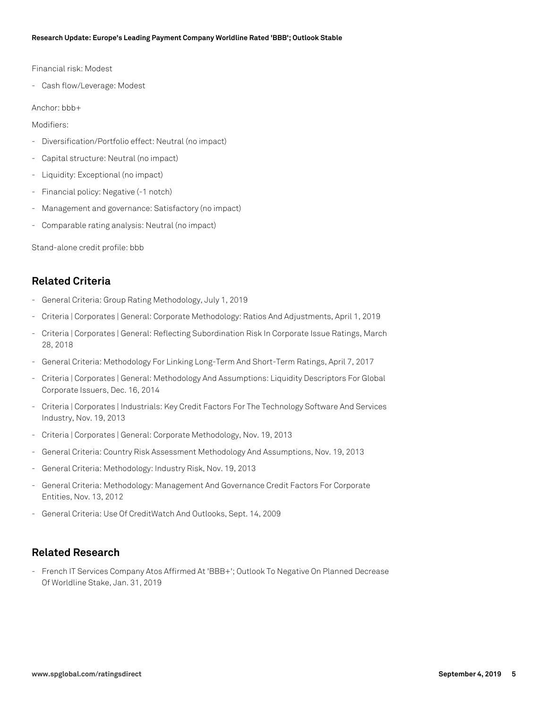Financial risk: Modest

- Cash flow/Leverage: Modest

Anchor: bbb+

Modifiers:

- Diversification/Portfolio effect: Neutral (no impact)
- Capital structure: Neutral (no impact)
- Liquidity: Exceptional (no impact)
- Financial policy: Negative (-1 notch)
- Management and governance: Satisfactory (no impact)
- Comparable rating analysis: Neutral (no impact)

Stand-alone credit profile: bbb

### **Related Criteria**

- General Criteria: Group Rating Methodology, July 1, 2019
- Criteria | Corporates | General: Corporate Methodology: Ratios And Adjustments, April 1, 2019
- Criteria | Corporates | General: Reflecting Subordination Risk In Corporate Issue Ratings, March 28, 2018
- General Criteria: Methodology For Linking Long-Term And Short-Term Ratings, April 7, 2017
- Criteria | Corporates | General: Methodology And Assumptions: Liquidity Descriptors For Global Corporate Issuers, Dec. 16, 2014
- Criteria | Corporates | Industrials: Key Credit Factors For The Technology Software And Services Industry, Nov. 19, 2013
- Criteria | Corporates | General: Corporate Methodology, Nov. 19, 2013
- General Criteria: Country Risk Assessment Methodology And Assumptions, Nov. 19, 2013
- General Criteria: Methodology: Industry Risk, Nov. 19, 2013
- General Criteria: Methodology: Management And Governance Credit Factors For Corporate Entities, Nov. 13, 2012
- General Criteria: Use Of CreditWatch And Outlooks, Sept. 14, 2009

### **Related Research**

- French IT Services Company Atos Affirmed At 'BBB+'; Outlook To Negative On Planned Decrease Of Worldline Stake, Jan. 31, 2019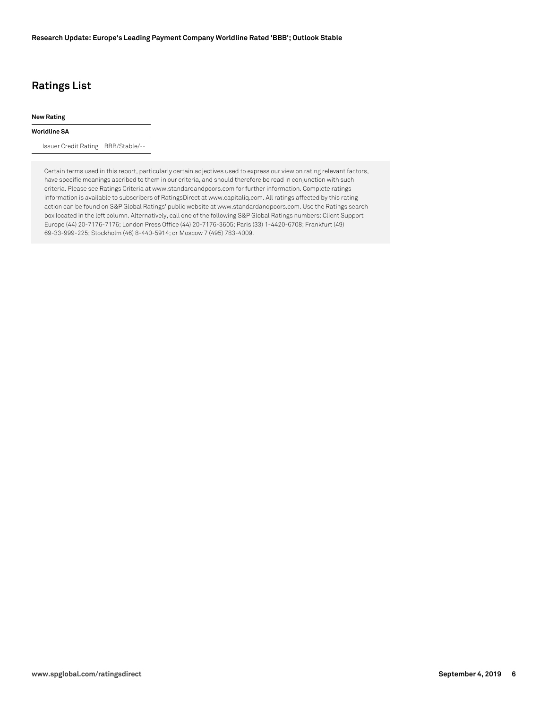## **Ratings List**

#### **New Rating**

#### **Worldline SA**

Issuer Credit Rating BBB/Stable/--

Certain terms used in this report, particularly certain adjectives used to express our view on rating relevant factors, have specific meanings ascribed to them in our criteria, and should therefore be read in conjunction with such criteria. Please see Ratings Criteria at www.standardandpoors.com for further information. Complete ratings information is available to subscribers of RatingsDirect at www.capitaliq.com. All ratings affected by this rating action can be found on S&P Global Ratings' public website at www.standardandpoors.com. Use the Ratings search box located in the left column. Alternatively, call one of the following S&P Global Ratings numbers: Client Support Europe (44) 20-7176-7176; London Press Office (44) 20-7176-3605; Paris (33) 1-4420-6708; Frankfurt (49) 69-33-999-225; Stockholm (46) 8-440-5914; or Moscow 7 (495) 783-4009.